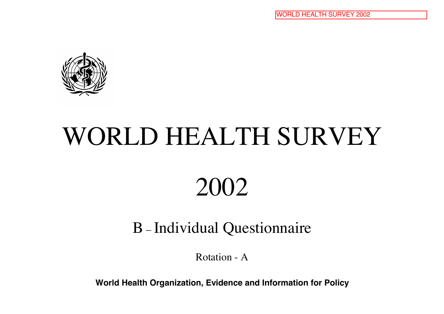

# WORLD HEALTH SURVEY

## 2002

### B – Individual Questionnaire

Rotation - A

**World Health Organization, Evidence and Information for Policy**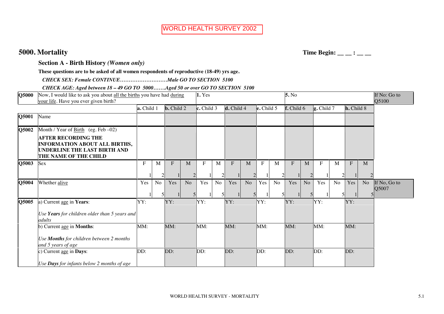**5000. Mortality** Time Begin: \_\_\_: \_\_\_

**Section A - Birth History** *(Women only)* 

**These questions are to be asked of all women respondents of reproductive (18-49) yrs age.**

 *CHECK SEX: Female CONTINUE………………………Male GO TO SECTION 5100* 

 *CHECK AGE: Aged between 18 – 49 GO TO 5000…….Aged 50 or over GO TO SECTION 5100* .

| Q5000 | Now, I would like to ask you about all the births you have had during<br>your life. Have you ever given birth?                                                       |            |    |                   |                | 1. Yes                 |                     |            |                      |                                     |    | 5. No      |                |                                           |              |            |                | If No: Go to<br>Q5100 |
|-------|----------------------------------------------------------------------------------------------------------------------------------------------------------------------|------------|----|-------------------|----------------|------------------------|---------------------|------------|----------------------|-------------------------------------|----|------------|----------------|-------------------------------------------|--------------|------------|----------------|-----------------------|
|       |                                                                                                                                                                      | a. Child 1 |    | <b>b.</b> Child 2 |                | $\mathbf{c}$ . Child 3 |                     | d. Child 4 |                      | $\left  \textbf{e} \right.$ Child 5 |    | f. Child 6 |                | $\left  \mathbf{g}. \text{Child} \right $ |              | h. Child 8 |                |                       |
| Q5001 | Name                                                                                                                                                                 |            |    |                   |                |                        |                     |            |                      |                                     |    |            |                |                                           |              |            |                |                       |
| Q5002 | Month / Year of $Birth$ (eg. Feb -02)<br><b>AFTER RECORDING THE</b><br><b>INFORMATION ABOUT ALL BIRTHS,</b><br>UNDERLINE THE LAST BIRTH AND<br>THE NAME OF THE CHILD |            |    |                   |                |                        |                     |            |                      |                                     |    |            |                |                                           |              |            |                |                       |
| Q5003 | Sex                                                                                                                                                                  | F          | M  | $F_{\rm}$         | M              | F                      | M<br>$\mathfrak{D}$ | F          | M<br>2               | $F_{\rm}$                           | M  | $F_{\rm}$  | M              | F                                         | $\mathbf{M}$ | $F_{\rm}$  | M              |                       |
| Q5004 | Whether alive                                                                                                                                                        | Yes        | No | Yes               | N <sub>o</sub> | Yes                    | N <sub>o</sub>      | Yes        | N <sub>o</sub><br>51 | Yes                                 | No | Yes        | N <sub>o</sub> | Yes                                       | No           | Yes        | N <sub>o</sub> | If No, Go to<br>Q5007 |
| Q5005 | a) Current age in Years:<br>Use Years for children older than 5 years and<br>adults                                                                                  | YY:        |    | YY:               |                | YY:                    |                     | YY:        |                      | YY:                                 |    | YY:        |                | YY:                                       |              | YY:        |                |                       |
|       | b) Current age in <b>Months</b> :<br>Use Months for children between 2 months<br>and 5 years of age                                                                  | MM:        |    | MM:               |                | MM:                    |                     | MM:        |                      | MM:                                 |    | MM:        |                | MM:                                       |              | MM:        |                |                       |
|       | c) Current age in Days:<br>Use Days for infants below 2 months of age                                                                                                | DD:        |    | DD:               |                | DD:                    |                     | DD:        |                      | DD:                                 |    | DD:        |                | DD:                                       |              | DD:        |                |                       |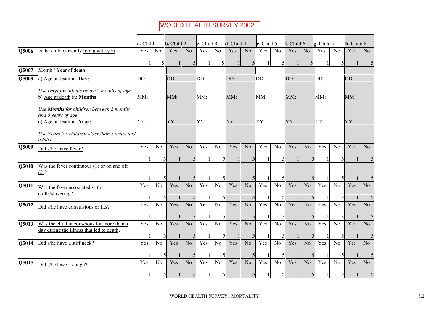|                           |                                                                                        | a. Child 1 |                | <b>b.</b> Child 2        |                | $\mathbf c$ . Child 3 |                                       | d. Child 4 |                                            | $\mathbf{e}$ . Child 5 |                                | f. Child 6 |                | g. Child 7 |                | h. Child 8 |                |
|---------------------------|----------------------------------------------------------------------------------------|------------|----------------|--------------------------|----------------|-----------------------|---------------------------------------|------------|--------------------------------------------|------------------------|--------------------------------|------------|----------------|------------|----------------|------------|----------------|
| Q5006                     | Is the child currently living with you?                                                | Yes        | No             | Yes                      | No             | Yes                   | N <sub>o</sub>                        | Yes        | N <sub>o</sub>                             | Yes                    | No                             | Yes        | N <sub>o</sub> | Yes        | N <sub>o</sub> | Yes        | N <sub>o</sub> |
|                           |                                                                                        |            |                |                          | 5              |                       | 5                                     |            | 5                                          |                        | 5                              |            | 5              |            | 5              |            |                |
| $\overline{\text{Q}5007}$ | Month / Year of death                                                                  |            |                |                          |                |                       |                                       |            |                                            |                        |                                |            |                |            |                |            |                |
| Q5008                     | a) Age at death in: Days                                                               | DD:        |                | DD:                      |                | DD:                   |                                       | DD:        |                                            | DD:                    |                                | DD:        |                | DD:        |                | DD:        |                |
|                           | Use Days for infants below 2 months of age<br>b) Age at death in: Months               | MM:        |                | $\overline{\text{MM}}$ : |                | MM:                   |                                       | MM:        |                                            | MM:                    |                                | MM:        |                | MM:        |                | MM:        |                |
|                           | Use Months for children between 2 months<br>and 5 years of age                         |            |                |                          |                |                       |                                       |            |                                            |                        |                                |            |                |            |                |            |                |
|                           | c) Age at death in: Years                                                              | YY:        |                | YY:                      |                | $\overline{YY}$       |                                       | YY:        |                                            | $\overline{YY:}$       |                                | YY:        |                | YY:        |                | YY:        |                |
|                           | Use Years for children older than 5 years and<br>adults                                |            |                |                          |                |                       |                                       |            |                                            |                        |                                |            |                |            |                |            |                |
| Q5009                     | Did s/he have fever?                                                                   | Yes        | N <sub>o</sub> | Yes                      | N <sub>o</sub> | Yes                   | No                                    | Yes        | No.                                        | Yes                    | No                             | Yes        | N <sub>o</sub> | Yes        | N <sub>o</sub> | Yes        | No.            |
| Q5010                     | Was the fever continuous $(1)$ or on and off<br>(5)?                                   |            |                |                          | 5              |                       | 5<br>5                                |            |                                            |                        |                                |            |                |            |                |            |                |
| Q5011                     | Was the fever associated with<br>chills/shivering?                                     | Yes        | No             | Yes                      | N <sub>o</sub> | Yes                   | No<br>5                               | Yes        | N <sub>o</sub><br>5                        | Yes                    | No<br>$\overline{\phantom{0}}$ | Yes        | N <sub>o</sub> | Yes        | No             | Yes        | N <sub>o</sub> |
| Q5012                     | Did s/he have convulsions or fits?                                                     | Yes        | N <sub>o</sub> | Yes                      | N <sub>o</sub> | Yes                   | N <sub>o</sub>                        | Yes        | N <sub>o</sub><br>$\overline{\mathcal{L}}$ | Yes                    | No<br>$\overline{\phantom{0}}$ | Yes        | No             | Yes        | N <sub>o</sub> | Yes        | N <sub>o</sub> |
| Q5013                     | Was the child unconscious for more than a<br>day during the illness that led to death? | Yes        | N <sub>o</sub> | Yes                      | N <sub>o</sub> | Yes                   | 5<br>N <sub>o</sub><br>$\overline{2}$ | Yes        | No<br>5                                    | Yes                    | No                             | Yes        | No             | Yes        | No             | Yes        | No             |
| Q5014                     | Did s/he have a stiff neck?                                                            | Yes        | No             | Yes                      | N <sub>o</sub> | Yes                   | N <sub>o</sub>                        | Yes        | No                                         | Yes                    | No                             | Yes        | N <sub>o</sub> | Yes        | No             | Yes        | No.            |
| Q5015                     | Did s/he have a cough?                                                                 | Yes        | N <sub>o</sub> | Yes                      | N <sub>o</sub> | Yes                   | $\overline{\mathcal{L}}$<br>No        | Yes        | $\overline{\mathbf{5}}$<br>N <sub>o</sub>  | Yes                    | <b>No</b>                      | Yes        | N <sub>o</sub> | Yes        | No             | Yes        | N <sub>o</sub> |
|                           |                                                                                        |            |                |                          | 5              |                       | 5                                     |            | 5                                          |                        |                                |            |                |            | 5              |            |                |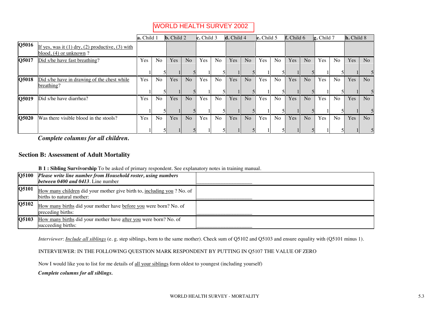|       |                                                                                                      | a. Child 1 |                | <b>b.</b> Child 2 |                | $\lfloor$ c. Child 3 |                | d. Child 4 |                | $\left  \mathbf{e}. \right $ Child 5 |                | f. Child 6 |                | $\left  \mathbf{g}. \right $ Child 7 |                | h. Child 8 |                |
|-------|------------------------------------------------------------------------------------------------------|------------|----------------|-------------------|----------------|----------------------|----------------|------------|----------------|--------------------------------------|----------------|------------|----------------|--------------------------------------|----------------|------------|----------------|
| Q5016 | If yes, was it $(1)$ dry, $(2)$ productive, $(3)$ with<br>$\boldsymbol{\phi}$ blood, (4) or unknown? |            |                |                   |                |                      |                |            |                |                                      |                |            |                |                                      |                |            |                |
| Q5017 | Did s/he have fast breathing?                                                                        | Yes        | N <sub>0</sub> | Yes               | N <sub>o</sub> | Yes                  | N <sub>o</sub> | Yes        | N <sub>o</sub> | Yes                                  | N <sub>o</sub> | Yes        | N <sub>o</sub> | Yes                                  | N <sub>0</sub> | Yes        | N <sub>o</sub> |
| Q5018 | Did s/he have in drawing of the chest while<br>breathing?                                            | Yes        | N <sub>0</sub> | Yes               | No             | Yes                  | N <sub>o</sub> | Yes        | N <sub>o</sub> | Yes                                  | N <sub>o</sub> | Yes        | No             | Yes                                  | N <sub>0</sub> | Yes        | N <sub>0</sub> |
| Q5019 | Did s/he have diarrhea?                                                                              | Yes        | N <sub>o</sub> | Yes               | N <sub>o</sub> | Yes                  | N <sub>o</sub> | <b>Yes</b> | N <sub>o</sub> | Yes                                  | N <sub>o</sub> | Yes        | N <sub>o</sub> | Yes                                  | N <sub>o</sub> | Yes        | N <sub>o</sub> |
| Q5020 | Was there visible blood in the stools?                                                               | Yes        | N <sub>o</sub> | Yes               | N <sub>o</sub> | Yes                  | N <sub>o</sub> | <b>Yes</b> | N <sub>o</sub> | Yes                                  | N <sub>o</sub> | Yes        | N <sub>o</sub> | Yes                                  | N <sub>o</sub> | Yes        | N <sub>o</sub> |

5 . *Complete columns for all children.* 

#### **Section B: Assessment of Adult Mortality**  ..

| <b>B 1 : Sibling Survivorship</b> To be asked of primary respondent. See explanatory notes in training manual. |  |  |  |
|----------------------------------------------------------------------------------------------------------------|--|--|--|
|                                                                                                                |  |  |  |

| Q5100        | Please write line number from Household roster, using numbers<br>between $0400$ and $0413$ . Line number |  |
|--------------|----------------------------------------------------------------------------------------------------------|--|
| Q5101        | How many children did your mother give birth to, including you ? No. of<br>births to natural mother:     |  |
| <b>O5102</b> | How many births did your mother have before you were born? No. of<br>preceding births:                   |  |
| Q5103        | How many births did your mother have after you were born? No. of<br>succeeding births:                   |  |

*Interviewer*: *Include all siblings* (e. g. step siblings, born to the same mother). Check sum of Q5102 and Q5103 and ensure equality with (Q5101 minus 1).

#### INTERVIEWER: IN THE FOLLOWING QUESTION MARK RESPONDENT BY PUTTING IN Q5107 THE VALUE OF ZERO

Now I would like you to list for me details of all your siblings form oldest to youngest (including yourself)

*Complete columns for all siblings.*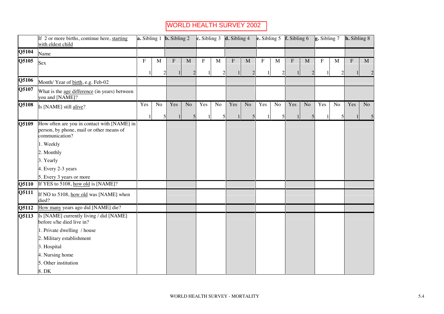|                           | If 2 or more births, continue here, starting<br>with eldest child                                         |           |                | <b>a.</b> Sibling 1 <b>b.</b> Sibling 2 |                                | c. Sibling $3 \text{ d. Sibling } 4$ |                     |     |                                |     |                     | <b>e.</b> Sibling 5 <b>f.</b> Sibling 6 |                | $\vert$ g. Sibling 7 |                     | <b>h.</b> Sibling 8 |              |
|---------------------------|-----------------------------------------------------------------------------------------------------------|-----------|----------------|-----------------------------------------|--------------------------------|--------------------------------------|---------------------|-----|--------------------------------|-----|---------------------|-----------------------------------------|----------------|----------------------|---------------------|---------------------|--------------|
| Q5104                     | Name                                                                                                      |           |                |                                         |                                |                                      |                     |     |                                |     |                     |                                         |                |                      |                     |                     |              |
| Q5105                     | Sex                                                                                                       | ${\bf F}$ | M              | F<br>$\overline{2}$                     | $\mathbf{M}$<br>$\overline{2}$ | F                                    | M<br>$\overline{2}$ | F   | $\mathbf{M}$<br>$\overline{2}$ | F   | M<br>$\overline{c}$ | F                                       | M              | F                    | M<br>$\overline{c}$ | F                   | $\mathbf{M}$ |
| Q5106                     | Month/ Year of birth, e.g. Feb-02                                                                         |           |                |                                         |                                |                                      |                     |     |                                |     |                     |                                         |                |                      |                     |                     |              |
| Q5107                     | What is the age difference (in years) between<br>you and [NAME]?                                          |           |                |                                         |                                |                                      |                     |     |                                |     |                     |                                         |                |                      |                     |                     |              |
| Q5108                     | Is [NAME] still alive?                                                                                    | Yes       | N <sub>o</sub> | Yes                                     | N <sub>o</sub>                 | Yes                                  | N <sub>o</sub>      | Yes | No                             | Yes | No                  | Yes                                     | N <sub>o</sub> | Yes                  | N <sub>o</sub>      | Yes                 | No.          |
| $\overline{\text{Q}5109}$ | How often are you in contact with [NAME] in<br>person, by phone, mail or other means of<br>communication? |           |                | 5                                       | 5                              |                                      | 5                   |     | 5                              | 1   | 5                   |                                         |                |                      | 5                   |                     | 5            |
|                           | 1. Weekly<br>2. Monthly                                                                                   |           |                |                                         |                                |                                      |                     |     |                                |     |                     |                                         |                |                      |                     |                     |              |
|                           | 3. Yearly<br>4. Every 2-3 years                                                                           |           |                |                                         |                                |                                      |                     |     |                                |     |                     |                                         |                |                      |                     |                     |              |
|                           | 5. Every 3 years or more                                                                                  |           |                |                                         |                                |                                      |                     |     |                                |     |                     |                                         |                |                      |                     |                     |              |
| Q5110                     | If YES to 5108, how old is [NAME]?                                                                        |           |                |                                         |                                |                                      |                     |     |                                |     |                     |                                         |                |                      |                     |                     |              |
| Q5111                     | If NO to 5108, how old was [NAME] when<br>died?                                                           |           |                |                                         |                                |                                      |                     |     |                                |     |                     |                                         |                |                      |                     |                     |              |
| Q5112                     | How many years ago did [NAME] die?                                                                        |           |                |                                         |                                |                                      |                     |     |                                |     |                     |                                         |                |                      |                     |                     |              |
| Q5113                     | Is [NAME] currently living / did [NAME]<br>before s/he died live in?                                      |           |                |                                         |                                |                                      |                     |     |                                |     |                     |                                         |                |                      |                     |                     |              |
|                           | 1. Private dwelling / house                                                                               |           |                |                                         |                                |                                      |                     |     |                                |     |                     |                                         |                |                      |                     |                     |              |
|                           | 2. Military establishment                                                                                 |           |                |                                         |                                |                                      |                     |     |                                |     |                     |                                         |                |                      |                     |                     |              |
|                           | 3. Hospital                                                                                               |           |                |                                         |                                |                                      |                     |     |                                |     |                     |                                         |                |                      |                     |                     |              |
|                           | 4. Nursing home                                                                                           |           |                |                                         |                                |                                      |                     |     |                                |     |                     |                                         |                |                      |                     |                     |              |
|                           | 5. Other institution                                                                                      |           |                |                                         |                                |                                      |                     |     |                                |     |                     |                                         |                |                      |                     |                     |              |
|                           | 8. DK                                                                                                     |           |                |                                         |                                |                                      |                     |     |                                |     |                     |                                         |                |                      |                     |                     |              |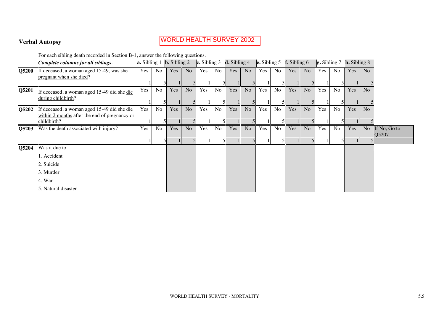#### **Verbal Autopsy**  ..

### WORLD HEALTH SURVEY 2002

For each sibling death recorded in Section B-1, answer the following questions. .

|       | Complete columns for all siblings.                                                                          | a. Sibling 1 |    | <b>b.</b> Sibling 2 |                | $\ $ c. Sibling 3 |    | <b>d.</b> Sibling 4 |                | $\left  \mathbf{e} \cdot \mathbf{S}$ ibling 5 |                | $\overline{f}$ . Sibling 6 |                | $\left  \mathbf{g}$ . Sibling 7 |                | $\mathbf{h}$ . Sibling 8 |                |                       |
|-------|-------------------------------------------------------------------------------------------------------------|--------------|----|---------------------|----------------|-------------------|----|---------------------|----------------|-----------------------------------------------|----------------|----------------------------|----------------|---------------------------------|----------------|--------------------------|----------------|-----------------------|
| Q5200 | If deceased, a woman aged 15-49, was she<br>pregnant when she died?                                         | Yes          | No | Yes                 | N <sub>o</sub> | Yes               | No | Yes                 | No.            | Yes                                           | N <sub>o</sub> | Yes                        | N <sub>o</sub> | Yes                             | No             | Yes                      | N <sub>o</sub> |                       |
| Q5201 | If deceased, a woman aged 15-49 did she die<br>during childbirth?                                           | Yes          | No | Yes                 | N <sub>o</sub> | Yes               | No | Yes                 | N <sub>o</sub> | Yes                                           | N <sub>o</sub> | Yes                        | N <sub>o</sub> | Yes                             | N <sub>o</sub> | Yes                      | N <sub>o</sub> |                       |
| Q5202 | If deceased, a woman aged 15-49 did she die<br>within 2 months after the end of pregnancy or<br>childbirth? | Yes          | No | Yes                 | N <sub>o</sub> | Yes               | No | Yes                 | No.            | Yes                                           | N <sub>o</sub> | Yes                        | N <sub>o</sub> | Yes                             | N <sub>o</sub> | Yes                      | N <sub>o</sub> |                       |
| Q5203 | Was the death associated with injury?                                                                       | Yes          | No | Yes                 | N <sub>o</sub> | Yes               | No | Yes                 | No.            | Yes                                           | N <sub>o</sub> | Yes                        | N <sub>o</sub> | Yes                             | No             | Yes                      | N <sub>o</sub> | If No, Go to<br>Q5207 |
| Q5204 | Was it due to                                                                                               |              |    |                     |                |                   |    |                     |                |                                               |                |                            |                |                                 |                |                          |                |                       |
|       | 1. Accident                                                                                                 |              |    |                     |                |                   |    |                     |                |                                               |                |                            |                |                                 |                |                          |                |                       |
|       | 2. Suicide                                                                                                  |              |    |                     |                |                   |    |                     |                |                                               |                |                            |                |                                 |                |                          |                |                       |
|       | 3. Murder                                                                                                   |              |    |                     |                |                   |    |                     |                |                                               |                |                            |                |                                 |                |                          |                |                       |
|       | 4. War                                                                                                      |              |    |                     |                |                   |    |                     |                |                                               |                |                            |                |                                 |                |                          |                |                       |
|       | 5. Natural disaster                                                                                         |              |    |                     |                |                   |    |                     |                |                                               |                |                            |                |                                 |                |                          |                |                       |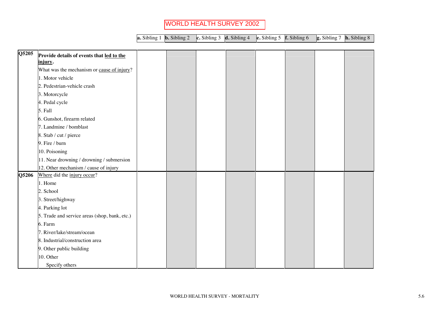|  |  | <b>a.</b> Sibling 1 <b>b.</b> Sibling 2 <b>c.</b> Sibling 3 <b>d.</b> Sibling 4 <b>e.</b> Sibling 5 <b>f.</b> Sibling 6 <b>g.</b> Sibling 7 <b>h.</b> Sibling 8 |  |  |
|--|--|-----------------------------------------------------------------------------------------------------------------------------------------------------------------|--|--|
|  |  |                                                                                                                                                                 |  |  |

| Q5205 | Provide details of events that led to the     |  |  |  |  |
|-------|-----------------------------------------------|--|--|--|--|
|       | injury.                                       |  |  |  |  |
|       | What was the mechanism or cause of injury?    |  |  |  |  |
|       | 1. Motor vehicle                              |  |  |  |  |
|       | 2. Pedestrian-vehicle crash                   |  |  |  |  |
|       | 3. Motorcycle                                 |  |  |  |  |
|       | 4. Pedal cycle                                |  |  |  |  |
|       | 5. Fall                                       |  |  |  |  |
|       | 6. Gunshot, firearm related                   |  |  |  |  |
|       | 7. Landmine / bomblast                        |  |  |  |  |
|       | 8. Stab / cut / pierce                        |  |  |  |  |
|       | 9. Fire / burn                                |  |  |  |  |
|       | 10. Poisoning                                 |  |  |  |  |
|       | 11. Near drowning / drowning / submersion     |  |  |  |  |
|       | 12. Other mechanism / cause of injury         |  |  |  |  |
| Q5206 | Where did the injury occur?                   |  |  |  |  |
|       | 1. Home                                       |  |  |  |  |
|       | 2. School                                     |  |  |  |  |
|       | 3. Street/highway                             |  |  |  |  |
|       | 4. Parking lot                                |  |  |  |  |
|       | 5. Trade and service areas (shop, bank, etc.) |  |  |  |  |
|       | 6. Farm                                       |  |  |  |  |
|       | 7. River/lake/stream/ocean                    |  |  |  |  |
|       | 8. Industrial/construction area               |  |  |  |  |
|       | 9. Other public building                      |  |  |  |  |
|       | 10. Other                                     |  |  |  |  |
|       | Specify others                                |  |  |  |  |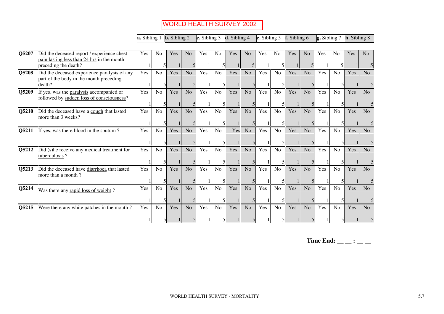|       |                                                                                                   | $ {\bf a}$ . Sibling 1 $ {\bf b}$ . Sibling 2 |                |     |                |     |                | <b>c.</b> Sibling 3 <b>d.</b> Sibling 4 |                |     | e. Sibling $5 \text{ }$ f. Sibling 6 |     |                | $\left  \mathbf{g} \right $ . Sibling 7 |                | $\mathbf{h}$ . Sibling 8 |                |
|-------|---------------------------------------------------------------------------------------------------|-----------------------------------------------|----------------|-----|----------------|-----|----------------|-----------------------------------------|----------------|-----|--------------------------------------|-----|----------------|-----------------------------------------|----------------|--------------------------|----------------|
| Q5207 | Did the deceased report / experience chest<br>pain lasting less than 24 hrs in the month          | Yes                                           | N <sub>o</sub> | Yes | N <sub>o</sub> | Yes | N <sub>o</sub> | Yes                                     | N <sub>o</sub> | Yes | N <sub>o</sub>                       | Yes | N <sub>o</sub> | Yes                                     | N <sub>o</sub> | Yes                      | N <sub>o</sub> |
|       | preceding the death?                                                                              |                                               |                |     |                |     |                |                                         |                |     |                                      |     |                |                                         |                |                          |                |
| Q5208 | Did the deceased experience paralysis of any<br>part of the body in the month preceding<br>death? | Yes                                           | No             | Yes | N <sub>o</sub> | Yes | N <sub>o</sub> | Yes                                     | N <sub>o</sub> | Yes | No                                   | Yes | N <sub>o</sub> | Yes                                     | No             | Yes                      | N <sub>o</sub> |
| Q5209 | If yes, was the paralysis accompanied or<br>followed by sudden loss of consciousness?             | Yes                                           | N <sub>o</sub> | Yes | No             | Yes | N <sub>o</sub> | Yes                                     | N <sub>o</sub> | Yes | N <sub>o</sub>                       | Yes | N <sub>o</sub> | Yes                                     | N <sub>0</sub> | Yes                      | N <sub>o</sub> |
| Q5210 | Did the deceased have a cough that lasted<br>more than 3 weeks?                                   | Yes                                           | No             | Yes | N <sub>o</sub> | Yes | N <sub>o</sub> | Yes                                     | N <sub>o</sub> | Yes | No                                   | Yes | N <sub>o</sub> | Yes                                     | No             | Yes                      | N <sub>o</sub> |
| Q5211 | If yes, was there blood in the sputum?                                                            | Yes                                           | N <sub>o</sub> | Yes | N <sub>o</sub> | Yes | N <sub>o</sub> | Yes                                     | N <sub>o</sub> | Yes | N <sub>o</sub>                       | Yes | N <sub>o</sub> | Yes                                     | N <sub>o</sub> | Yes                      | N <sub>o</sub> |
| Q5212 | Did (s) he receive any medical treatment for<br>tuberculosis?                                     | Yes                                           | No             | Yes | N <sub>o</sub> | Yes | N <sub>o</sub> | Yes                                     | N <sub>o</sub> | Yes | No                                   | Yes | N <sub>o</sub> | Yes                                     | No             | Yes                      | N <sub>o</sub> |
| Q5213 | Did the deceased have diarrhoea that lasted<br>more than a month?                                 | Yes                                           | N <sub>o</sub> | Yes | N <sub>o</sub> | Yes | N <sub>o</sub> | Yes                                     | N <sub>o</sub> | Yes | N <sub>o</sub>                       | Yes | N <sub>o</sub> | Yes                                     | N <sub>o</sub> | Yes                      | N <sub>o</sub> |
| Q5214 | Was there any rapid loss of weight?                                                               | Yes                                           | No             | Yes | N <sub>o</sub> | Yes | N <sub>o</sub> | Yes                                     | N <sub>o</sub> | Yes | No                                   | Yes | N <sub>o</sub> | Yes                                     | N <sub>o</sub> | Yes                      | No             |
| Q5215 | Were there any white patches in the mouth?                                                        | Yes                                           | No             | Yes | N <sub>o</sub> | Yes | No             | Yes                                     | N <sub>o</sub> | Yes | No                                   | Yes | N <sub>o</sub> | Yes                                     | N <sub>o</sub> | Yes                      | N <sub>o</sub> |

Time End:  $\_\_$   $\_\_$  :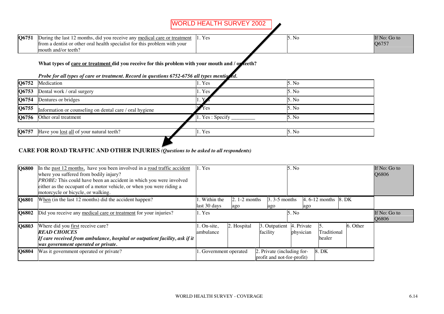| Q6751 | During the last.<br>2 months, did you receive any medical care or treatment<br>. Yes | 5. No | If No: Go to |
|-------|--------------------------------------------------------------------------------------|-------|--------------|
|       | trom a dentist or other oral health specialist for this problem with your            |       | Q6757        |
|       | and/or teeth:<br>lmouth-                                                             |       |              |
|       |                                                                                      |       |              |

#### What types of care or treatment did you receive for this problem with your mouth and / or teeth?

*Probe for all types of care or treatment. Record in questions 6752-6756 all types mentioned.* 

| Q6752 | Medication                                              | 1. Yes          | 5. No  |
|-------|---------------------------------------------------------|-----------------|--------|
| Q6753 | Dental work / oral surgery                              | 1. Yes          | 5. No  |
| Q6754 | Dentures or bridges                                     |                 | 5. No. |
| Q6755 | Information or counseling on dental care / oral hygiene | $Y$ es          | 5. No. |
| Q6756 | Other oral treatment                                    | 1. Yes: Specify | 5. No  |
|       |                                                         |                 |        |
| Q6757 | Have you lost all of your natural teeth?                | 1. Yes          | 5. No  |
|       |                                                         |                 |        |

#### **CARE FOR ROAD TRAFFIC AND OTHER INJURIES** *(Questions to be asked to all respondents)*

| Q6800 | In the past 12 months, have you been involved in a road traffic accident<br>where you suffered from bodily injury?<br><i>PROBE</i> : This could have been an accident in which you were involved<br>either as the occupant of a motor vehicle, or when you were riding a<br>motorcycle or bicycle, or walking. | 5. No<br>$1.$ Yes            |                              |                                                          |                         |                        | If No: Go to<br>Q6806 |  |
|-------|----------------------------------------------------------------------------------------------------------------------------------------------------------------------------------------------------------------------------------------------------------------------------------------------------------------|------------------------------|------------------------------|----------------------------------------------------------|-------------------------|------------------------|-----------------------|--|
| Q6801 | When (in the last 12 months) did the accident happen?                                                                                                                                                                                                                                                          | . Within the<br>last 30 days | $\vert 2.1$ -2 months<br>ago | $3.3 - 5$ months<br>ago                                  | ago                     | $\vert 4.6$ -12 months | 8. DK                 |  |
| O6802 | Did you receive any medical care or treatment for your injuries?                                                                                                                                                                                                                                               | 1. Yes                       | 5. No                        |                                                          |                         |                        | If No: Go to<br>Q6806 |  |
| Q6803 | Where did you first receive care?<br><b>READ CHOICES</b><br>If care received from ambulance, hospital or outpatient facility, ask if it<br>was government operated or private.                                                                                                                                 | 1. On-site,<br>ambulance     | 2. Hospital                  | 3. Outpatient<br>facility                                | 4. Private<br>physician | Traditional<br>healer  | 6. Other              |  |
| O6804 | Was it government operated or private?                                                                                                                                                                                                                                                                         | 1. Government operated       |                              | 2. Private (including for-<br>profit and not-for-profit) |                         | 8. DK                  |                       |  |